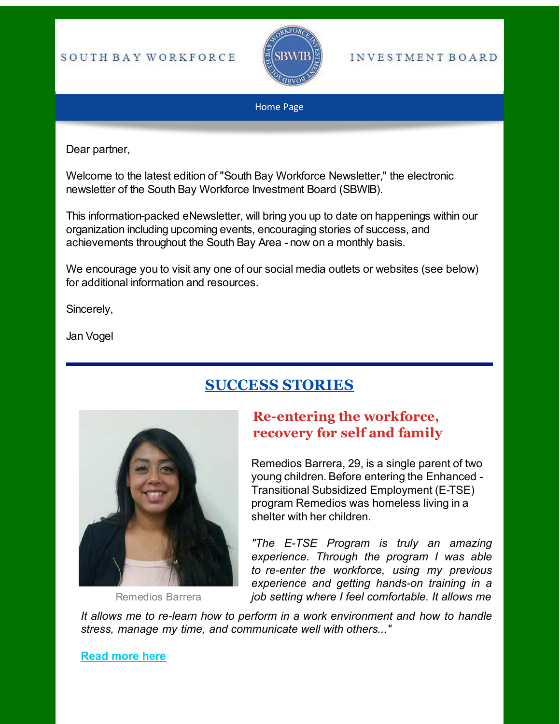#### SOUTH BAY WORKFORCE



#### **INVESTMENT BOARD**

#### Home Page

Dear partner,

Welcome to the latest edition of "South Bay Workforce Newsletter," the electronic newsletter of the South Bay Workforce Investment Board (SBWIB).

This information-packed eNewsletter, will bring you up to date on happenings within our organization including upcoming events, encouraging stories of success, and achievements throughout the South Bay Area - now on a monthly basis.

We encourage you to visit any one of our social media outlets or websites (see below) for additional information and resources.

Sincerely,

Jan Vogel

## **SUCCESS STORIES**



[Remedios Barrera](https://www.sbwib.org/2017-individual-success-stories)

## **Re-entering the workforce, recovery for self and family**

Remedios Barrera, 29, is a single parent of two young children. Before entering the Enhanced - Transitional Subsidized Employment (E-TSE) program Remedios was homeless living in a shelter with her children.

*"The E-TSE Program is truly an amazing experience. Through the program I was able to re-enter the workforce, using my previous experience and getting hands-on training in a job setting where I feel comfortable. It allows me* 

*It allows me to re-learn how to perform in a work environment and how to handle stress, manage my time, and communicate well with others..."*

**[Read more here](https://www.sbwib.org/2017-individual-success-stories)**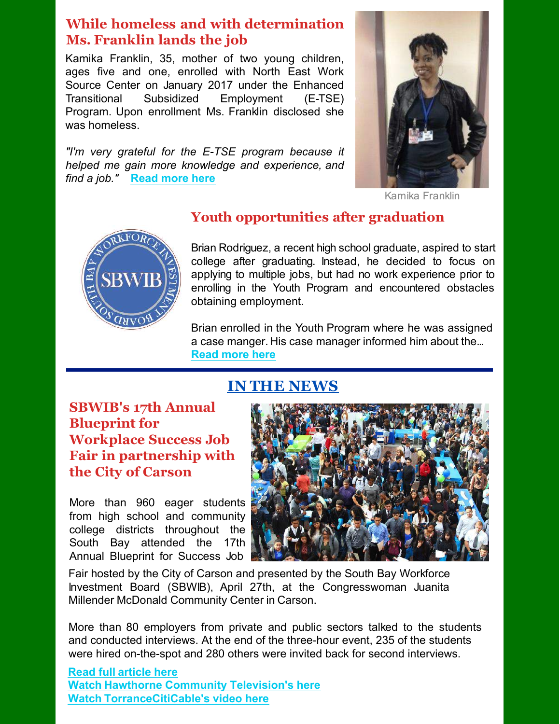#### **While homeless and with determination Ms. Franklin lands the job**

Kamika Franklin, 35, mother of two young children, ages five and one, enrolled with North East Work Source Center on January 2017 under the Enhanced Transitional Subsidized Employment (E-TSE) Program. Upon enrollment Ms. Franklin disclosed she was homeless.

*"I'm very grateful for the E-TSE program because it helped me gain more knowledge and experience, and find a job."* **[Read more here](https://www.sbwib.org/2017-individual-success-stories)**



[Kamika Franklin](https://www.sbwib.org/2017-individual-success-stories)



#### **Youth opportunities after graduation**

Brian Rodriguez, a recent high school graduate, aspired to start college after graduating. Instead, he decided to focus on applying to multiple jobs, but had no work experience prior to enrolling in the Youth Program and encountered obstacles obtaining employment.

Brian enrolled in the Youth Program where he was assigned a case manger. His case manager informed him about the... **[Read more here](https://www.sbwib.org/copy-of-2016-youth-success-stories)**

## **IN THE NEWS**

**SBWIB's 17th Annual Blueprint for Workplace Success Job Fair in partnership with the City of Carson**

More than 960 eager students from high school and community college districts throughout the South Bay attended the 17th Annual Blueprint for Success Job



Fair hosted by the City of Carson and presented by the South Bay Workforce Investment Board (SBWIB), April 27th, at the Congresswoman Juanita Millender McDonald Community Center in Carson.

More than 80 employers from private and public sectors talked to the students and conducted interviews. At the end of the three-hour event, 235 of the students were hired on-the-spot and 280 others were invited back for second interviews.

**[Read full article here](https://media.wix.com/ugd/b8c0dc_9f66d08be2b045afa17497f426d67433.pdf) [Watch Hawthorne Community Television's here](https://www.youtube.com/watch?v=VxPZf7SUdlo&feature=youtu.be&t=14m15s) [Watch TorranceCitiCable's video here](https://www.youtube.com/watch?v=B4ysFfHTSjE&feature=youtu.be&t=15m28s)**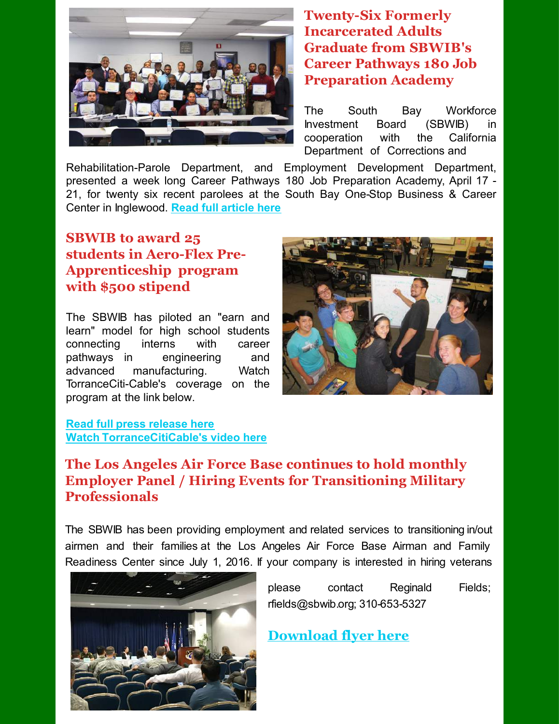

#### **Twenty-Six Formerly Incarcerated Adults Graduate from SBWIB's Career Pathways 180 Job Preparation Academy**

The South Bay Workforce Investment Board (SBWIB) in cooperation with the California Department of Corrections and

Rehabilitation-Parole Department, and Employment Development Department, presented a week long Career Pathways 180 Job Preparation Academy, April 17 - 21, for twenty six recent parolees at the South Bay One-Stop Business & Career Center in Inglewood. **[Read full article here](https://media.wix.com/ugd/b8c0dc_3043b57ae5094f188a78e648db178de6.pdf)**

## **SBWIB to award 25 students in Aero-Flex Pre-Apprenticeship program with \$500 stipend**

The SBWIB has piloted an "earn and learn" model for high school students connecting interns with career pathways in engineering and advanced manufacturing. Watch TorranceCiti-Cable's coverage on the program at the link below.



#### **[Read full press release here](https://media.wix.com/ugd/b8c0dc_f7daebd7d0c542089b92c1f64495ca9f.pdf) [Watch TorranceCitiCable's video here](https://www.youtube.com/watch?v=LNm_O4Ebc5w&feature=youtu.be&t=7m56s)**

#### **The Los Angeles Air Force Base continues to hold monthly Employer Panel / Hiring Events for Transitioning Military Professionals**

The SBWIB has been providing employment and related services to transitioning in/out airmen and their families at the Los Angeles Air Force Base Airman and Family Readiness Center since July 1, 2016. If your company is interested in hiring veterans



please contact Reginald Fields; rfields@sbwib.org; 310-653-5327

**[Download flyer here](http://media.wix.com/ugd/b8c0dc_c1e8b3bf49234c70a71eab158ed973db.pdf)**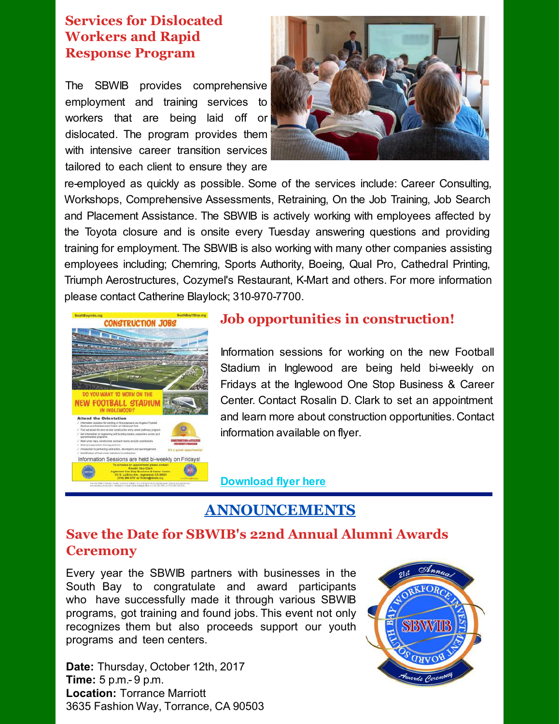#### **Services for Dislocated Workers and Rapid Response Program**

The SBWIB provides comprehensive employment and training services to workers that are being laid off or dislocated. The program provides them with intensive career transition services tailored to each client to ensure they are



re-employed as quickly as possible. Some of the services include: Career Consulting, Workshops, Comprehensive Assessments, Retraining, On the Job Training, Job Search and Placement Assistance. The SBWIB is actively working with employees affected by the Toyota closure and is onsite every Tuesday answering questions and providing training for employment. The SBWIB is also working with many other companies assisting employees including; Chemring, Sports Authority, Boeing, Qual Pro, Cathedral Printing, Triumph Aerostructures, Cozymel's Restaurant, K-Mart and others. For more information please contact Catherine Blaylock; 310-970-7700.



#### **Job opportunities in construction!**

Information sessions for working on the new Football Stadium in Inglewood are being held bi-weekly on Fridays at the Inglewood One Stop Business & Career Center. Contact Rosalin D. Clark to set an appointment and learn more about construction opportunities. Contact information available on flyer.

**[Download flyer here](https://media.wix.com/ugd/3fa6a7_d8f463cf64f04c1e9b5e5eee1d505f69.pdf)**

## **ANNOUNCEMENTS**

#### **Save the Date for SBWIB's 22nd Annual Alumni Awards Ceremony**

Every year the SBWIB partners with businesses in the South Bay to congratulate and award participants who have successfully made it through various SBWIB programs, got training and found jobs. This event not only recognizes them but also proceeds support our youth programs and teen centers.

**Date:** Thursday, October 12th, 2017 **Time:** 5 p.m.- 9 p.m. **Location:** Torrance Marriott 3635 Fashion Way, Torrance, CA 90503

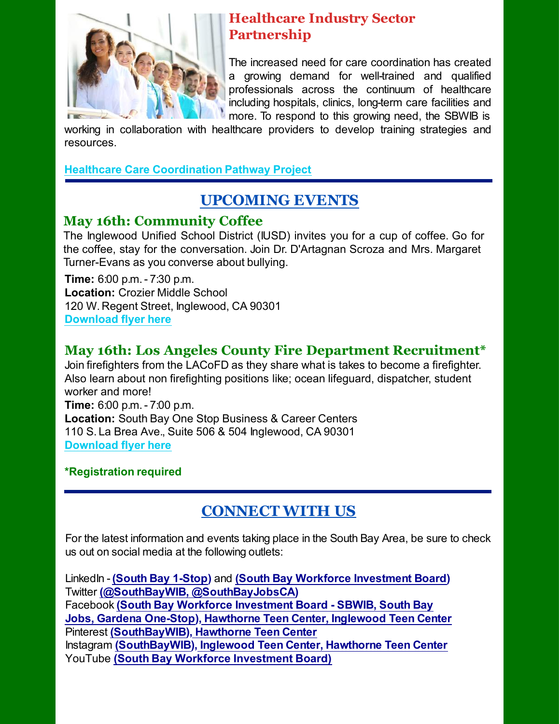

## **Healthcare Industry Sector Partnership**

The increased need for care coordination has created a growing demand for well-trained and qualified professionals across the continuum of healthcare including hospitals, clinics, long-term care facilities and more. To respond to this growing need, the SBWIB is

working in collaboration with healthcare providers to develop training strategies and resources.

#### **[Healthcare Care Coordination Pathway Project](http://files.constantcontact.com/1c123a6f401/e15fb96e-7115-46eb-b993-a56d7351f460.pdf)**

# **UPCOMING EVENTS**

## **May 16th: Community Coffee**

The Inglewood Unified School District (IUSD) invites you for a cup of coffee. Go for the coffee, stay for the conversation. Join Dr. D'Artagnan Scroza and Mrs. Margaret Turner-Evans as you converse about bullying.

**Time:** 6:00 p.m. - 7:30 p.m. **Location:** Crozier Middle School 120 W. Regent Street, Inglewood, CA 90301 **[Download flyer here](http://icareinglewood.com/wp-content/uploads/2017/05/community-coffee-flyer-5.1.17.pdf)**

## **May 16th: Los Angeles County Fire Department Recruitment\***

Join firefighters from the LACoFD as they share what is takes to become a firefighter. Also learn about non firefighting positions like; ocean lifeguard, dispatcher, student worker and more! **Time:** 6:00 p.m. - 7:00 p.m. **Location:** South Bay One Stop Business & Career Centers 110 S. La Brea Ave., Suite 506 & 504 Inglewood, CA 90301 **[Download flyer here](http://icareinglewood.com/wp-content/uploads/2017/05/LACoFD-Recruitment-Flyer-Info-Session-Inglewood-4_25_17.pdf)**

## **\*Registration required**

## **CONNECT WITH US**

For the latest information and events taking place in the South Bay Area, be sure to check us out on social media at the following outlets:

LinkedIn - **[\(South Bay 1-Stop\)](https://www.linkedin.com/company/south-bay-one-stop-business-&-career-center)** and **[\(South Bay Workforce Investment Board\)](https://www.linkedin.com/company/south-bay-workforce-investment-board)**  Twitter **[\(@SouthBayWIB,](https://twitter.com/SouthBayWIB) [@SouthBayJobsCA\)](https://twitter.com/SouthBayJobsCA)** Facebook **[\(South Bay Workforce Investment Board - SBWIB,](https://www.facebook.com/SouthBayOneStop/?fref=ts) [South Bay](https://www.facebook.com/SouthBayOneStop/?fref=ts) [Jobs,](https://www.facebook.com/SouthBayOneStop/?fref=ts) [Gardena One-Stop\),](https://www.facebook.com/gardenaonestop/?fref=ts) [Hawthorne Teen Center,](https://www.facebook.com/hawthorne.teencenter?fref=ts) [Inglewood Teen Center](https://www.facebook.com/inglewoodteencenter/?fref=ts)** Pinterest **[\(SouthBayWIB\),](https://www.pinterest.com/SouthBayWIB/) [Hawthorne Teen Center](https://www.facebook.com/hawthorne.teencenter?fref=ts)** Instagram **[\(SouthBayWIB\)](https://www.instagram.com/southbaywib/), [Inglewood Teen Center,](https://www.instagram.com/inglewoodteencenter/) [Hawthorne Teen Center](https://www.instagram.com/hawthorneteencenter/)** YouTube **[\(South Bay Workforce Investment Board\)](https://www.youtube.com/channel/UCTQyvQAIncrdvf-x_6RtfDg/videos)**